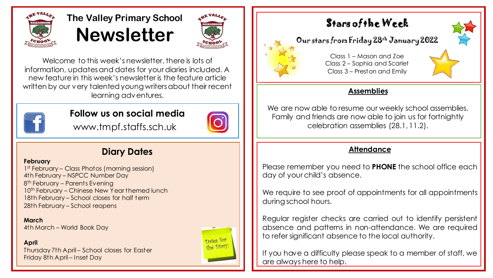

# **The Valley Primary School Newsletter**



Welcome to this week's newsletter, there is lots of information, updates and dates for your diaries included. A new feature in this week's newsletter is the feature article written by our very talented young writers about their recent learning adventures.



### **Follow us on social media**



www.tmpf.staffs.sch.uk

## **Diary Dates**

#### **February**

1<sup>st</sup> February – Class Photos (morning session) 4th February – NSPCC Number Day 8<sup>th</sup> February – Parents Evening 10<sup>th</sup> February – Chinese New Year themed lunch 18th February – School closes for half term 28th February – School reopens

**March** 4th March – World Book Day

**April**

Thursday 7th April – School closes for Easter Friday 8th April – Inset Day



## Stars of the Week

## Our stars from Friday 28th January 2022





We are now able to resume our weekly school assemblies. Family and friends are now able to join us for fortnightly celebration assemblies (28.1, 11.2).

#### **Attendance**

Please remember you need to **PHONE** the school office each day of your child's absence.

We require to see proof of appointments for all appointments during school hours.

Regular register checks are carried out to identify persistent absence and patterns in non-attendance. We are required to refer significant absence to the local authority.

If you have a difficulty please speak to a member of staff, we are always here to help.